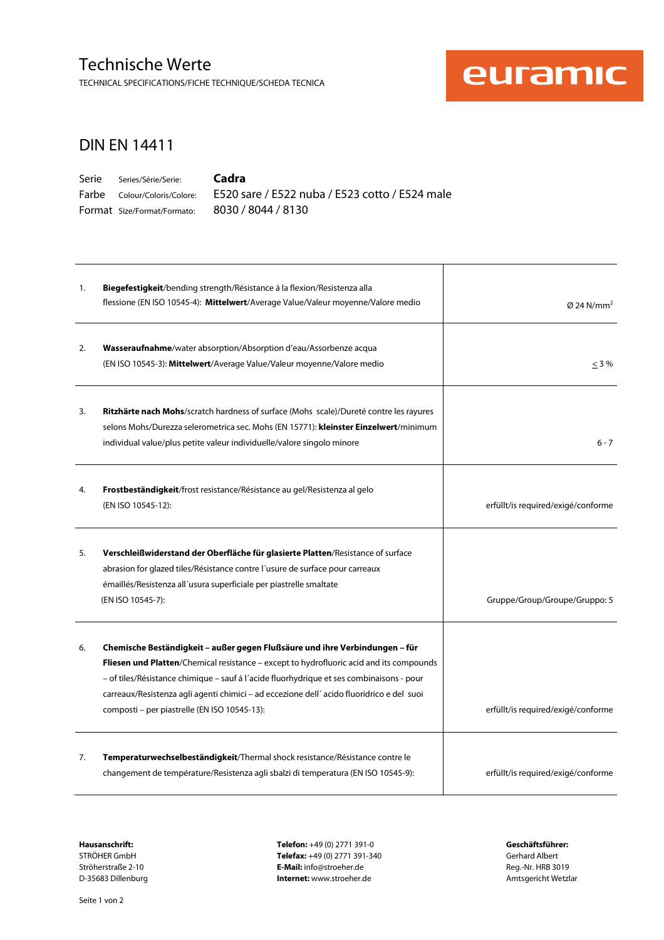### Technische Werte

TECHNICAL SPECIFICATIONS/FICHE TECHNIQUE/SCHEDA TECNICA



#### DIN EN 14411

Serie Series/Série/Serie: Farbe Colour/Coloris/Colore: Format Size/Format/Formato: 8030 / 8044 / 8130

**Cadra** 

E520 sare / E522 nuba / E523 cotto / E524 male

| 1. | Biegefestigkeit/bending strength/Résistance á la flexion/Resistenza alla<br>flessione (EN ISO 10545-4): Mittelwert/Average Value/Valeur moyenne/Valore medio                                                                                                                                                                                                                                                   | $\varnothing$ 24 N/mm <sup>2</sup> |
|----|----------------------------------------------------------------------------------------------------------------------------------------------------------------------------------------------------------------------------------------------------------------------------------------------------------------------------------------------------------------------------------------------------------------|------------------------------------|
| 2. | Wasseraufnahme/water absorption/Absorption d'eau/Assorbenze acqua<br>(EN ISO 10545-3): Mittelwert/Average Value/Valeur moyenne/Valore medio                                                                                                                                                                                                                                                                    | $\leq$ 3%                          |
| 3. | Ritzhärte nach Mohs/scratch hardness of surface (Mohs scale)/Dureté contre les rayures<br>selons Mohs/Durezza selerometrica sec. Mohs (EN 15771): kleinster Einzelwert/minimum<br>individual value/plus petite valeur individuelle/valore singolo minore                                                                                                                                                       | $6 - 7$                            |
| 4. | <b>Frostbeständigkeit/</b> frost resistance/Résistance au gel/Resistenza al gelo<br>(EN ISO 10545-12):                                                                                                                                                                                                                                                                                                         | erfüllt/is required/exigé/conforme |
| 5. | Verschleißwiderstand der Oberfläche für glasierte Platten/Resistance of surface<br>abrasion for glazed tiles/Résistance contre l'usure de surface pour carreaux<br>émaillés/Resistenza all'usura superficiale per piastrelle smaltate<br>(EN ISO 10545-7):                                                                                                                                                     | Gruppe/Group/Groupe/Gruppo: 5      |
| 6. | Chemische Beständigkeit – außer gegen Flußsäure und ihre Verbindungen – für<br>Fliesen und Platten/Chemical resistance - except to hydrofluoric acid and its compounds<br>- of tiles/Résistance chimique - sauf á l'acide fluorhydrique et ses combinaisons - pour<br>carreaux/Resistenza agli agenti chimici - ad eccezione dell'acido fluoridrico e del suoi<br>composti – per piastrelle (EN ISO 10545-13): | erfüllt/is required/exigé/conforme |
| 7. | Temperaturwechselbeständigkeit/Thermal shock resistance/Résistance contre le<br>changement de température/Resistenza agli sbalzi di temperatura (EN ISO 10545-9):                                                                                                                                                                                                                                              | erfüllt/is required/exigé/conforme |

**Hausanschrift: Telefon:** +49 (0) 2771 391-0 **Geschäftsführer:**  Telefax: +49 (0) 2771 391-340 Ströherstraße 2-10 **E-Mail:** info@stroeher.de **E-Mail:** info@stroeher.de Reg.-Nr. HRB 3019<br>D-35683 Dillenburg **E-Mail:** info@stroeher.de Reg.-Nr. HRB 3019 **Internet:** www.stroeher.de **Internet:** www.stroeher.de